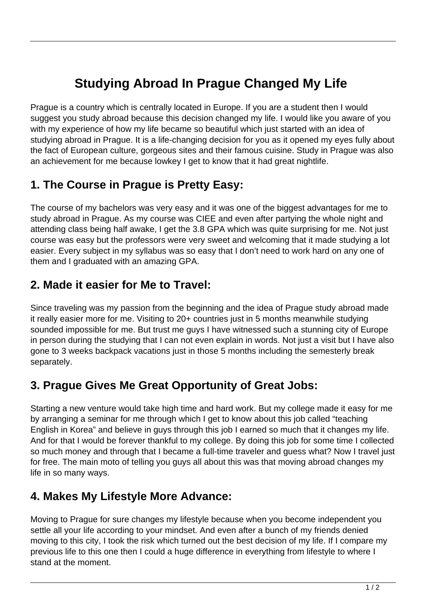# **Studying Abroad In Prague Changed My Life**

Prague is a country which is centrally located in Europe. If you are a student then I would suggest you study abroad because this decision changed my life. I would like you aware of you with my experience of how my life became so beautiful which just started with an idea of studying abroad in Prague. It is a life-changing decision for you as it opened my eyes fully about the fact of European culture, gorgeous sites and their famous cuisine. Study in Prague was also an achievement for me because lowkey I get to know that it had great nightlife.

# **1. The Course in Prague is Pretty Easy:**

The course of my bachelors was very easy and it was one of the biggest advantages for me to study abroad in Prague. As my course was CIEE and even after partying the whole night and attending class being half awake, I get the 3.8 GPA which was quite surprising for me. Not just course was easy but the professors were very sweet and welcoming that it made studying a lot easier. Every subject in my syllabus was so easy that I don't need to work hard on any one of them and I graduated with an amazing GPA.

### **2. Made it easier for Me to Travel:**

Since traveling was my passion from the beginning and the idea of Prague study abroad made it really easier more for me. Visiting to 20+ countries just in 5 months meanwhile studying sounded impossible for me. But trust me guys I have witnessed such a stunning city of Europe in person during the studying that I can not even explain in words. Not just a visit but I have also gone to 3 weeks backpack vacations just in those 5 months including the semesterly break separately.

## **3. Prague Gives Me Great Opportunity of Great Jobs:**

Starting a new venture would take high time and hard work. But my college made it easy for me by arranging a seminar for me through which I get to know about this job called "teaching English in Korea" and believe in guys through this job I earned so much that it changes my life. And for that I would be forever thankful to my college. By doing this job for some time I collected so much money and through that I became a full-time traveler and guess what? Now I travel just for free. The main moto of telling you guys all about this was that moving abroad changes my life in so many ways.

### **4. Makes My Lifestyle More Advance:**

Moving to Prague for sure changes my lifestyle because when you become independent you settle all your life according to your mindset. And even after a bunch of my friends denied moving to this city, I took the risk which turned out the best decision of my life. If I compare my previous life to this one then I could a huge difference in everything from lifestyle to where I stand at the moment.